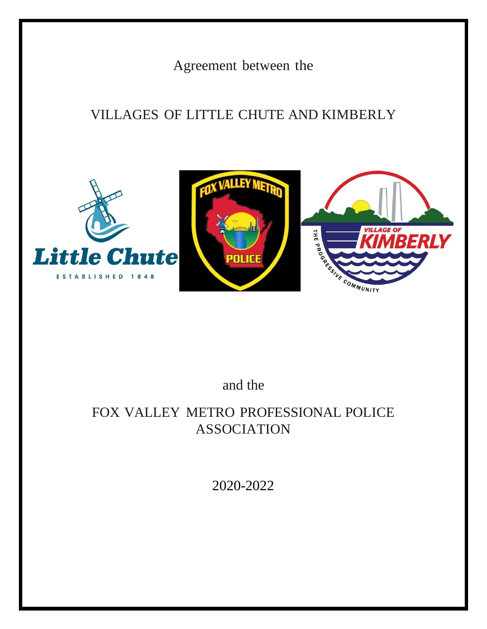Agreement between the

# VILLAGES OF LITTLE CHUTE AND KIMBERLY



# and the

# FOX VALLEY METRO PROFESSIONAL POLICE ASSOCIATION

2020-2022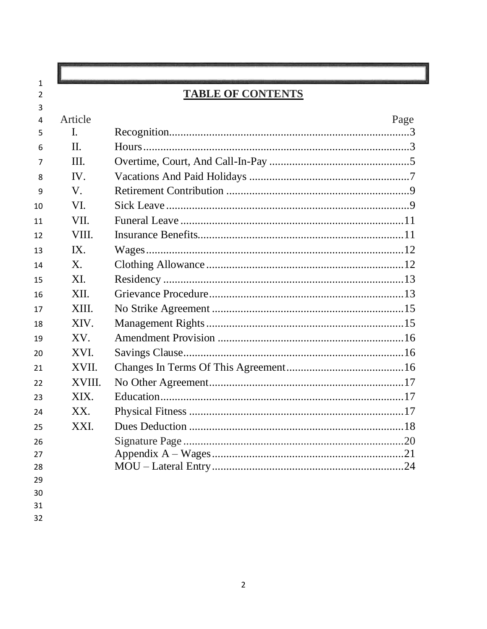| Article               |      |
|-----------------------|------|
|                       |      |
|                       | Page |
| $\mathbf{I}$ .        |      |
| II.                   |      |
| III.                  |      |
| $\mathbf{IV}_{\cdot}$ |      |
| $V_{\cdot}$           |      |
| VI.                   |      |
| VII.                  |      |
| VIII.                 |      |
| IX.                   |      |
| X.                    |      |
| XI.                   |      |
| XII.                  |      |
| XIII.                 |      |
| XIV.                  |      |
| XV.                   |      |
| XVI.                  |      |
| XVII.                 |      |
| XVIII.                |      |
| XIX.                  |      |
| XX.                   |      |
| XXI.                  |      |
|                       |      |
|                       |      |
|                       |      |
|                       |      |
|                       |      |

 $\overline{32}$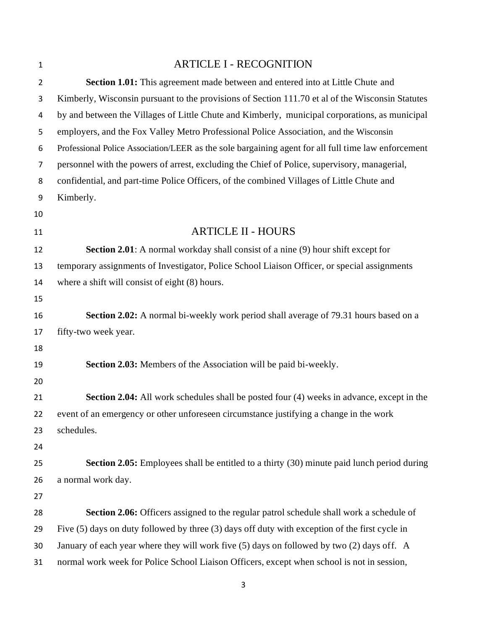| $\mathbf{1}$   | <b>ARTICLE I - RECOGNITION</b>                                                                      |
|----------------|-----------------------------------------------------------------------------------------------------|
| $\overline{2}$ | Section 1.01: This agreement made between and entered into at Little Chute and                      |
| 3              | Kimberly, Wisconsin pursuant to the provisions of Section 111.70 et al of the Wisconsin Statutes    |
| 4              | by and between the Villages of Little Chute and Kimberly, municipal corporations, as municipal      |
| 5              | employers, and the Fox Valley Metro Professional Police Association, and the Wisconsin              |
| 6              | Professional Police Association/LEER as the sole bargaining agent for all full time law enforcement |
| 7              | personnel with the powers of arrest, excluding the Chief of Police, supervisory, managerial,        |
| 8              | confidential, and part-time Police Officers, of the combined Villages of Little Chute and           |
| 9              | Kimberly.                                                                                           |
| 10             |                                                                                                     |
| 11             | <b>ARTICLE II - HOURS</b>                                                                           |
| 12             | <b>Section 2.01</b> : A normal workday shall consist of a nine (9) hour shift except for            |
| 13             | temporary assignments of Investigator, Police School Liaison Officer, or special assignments        |
| 14             | where a shift will consist of eight (8) hours.                                                      |
| 15             |                                                                                                     |
| 16             | Section 2.02: A normal bi-weekly work period shall average of 79.31 hours based on a                |
| 17             | fifty-two week year.                                                                                |
| 18             |                                                                                                     |
| 19             | Section 2.03: Members of the Association will be paid bi-weekly.                                    |
| 20             |                                                                                                     |
| 21             | <b>Section 2.04:</b> All work schedules shall be posted four (4) weeks in advance, except in the    |
| 22             | event of an emergency or other unforeseen circumstance justifying a change in the work              |
| 23             | schedules.                                                                                          |
| 24             |                                                                                                     |
| 25             | <b>Section 2.05:</b> Employees shall be entitled to a thirty (30) minute paid lunch period during   |
| 26             | a normal work day.                                                                                  |
| 27             |                                                                                                     |
| 28             | Section 2.06: Officers assigned to the regular patrol schedule shall work a schedule of             |
| 29             | Five $(5)$ days on duty followed by three $(3)$ days off duty with exception of the first cycle in  |
| 30             | January of each year where they will work five (5) days on followed by two (2) days off. A          |
| 31             | normal work week for Police School Liaison Officers, except when school is not in session,          |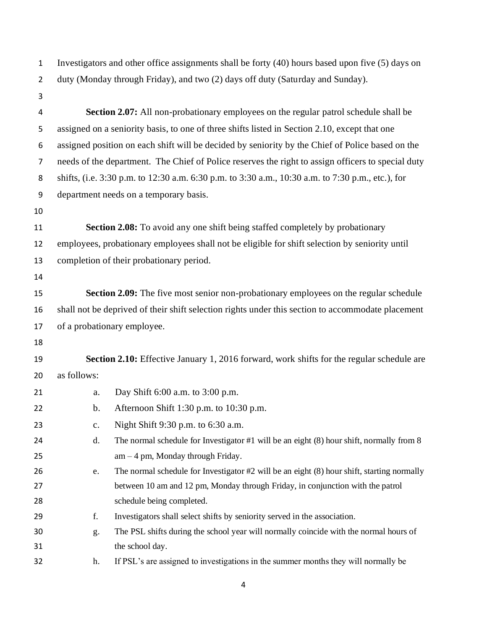Investigators and other office assignments shall be forty (40) hours based upon five (5) days on duty (Monday through Friday), and two (2) days off duty (Saturday and Sunday).

- **Section 2.07:** All non-probationary employees on the regular patrol schedule shall be assigned on a seniority basis, to one of three shifts listed in Section 2.10, except that one assigned position on each shift will be decided by seniority by the Chief of Police based on the needs of the department. The Chief of Police reserves the right to assign officers to special duty shifts, (i.e. 3:30 p.m. to 12:30 a.m. 6:30 p.m. to 3:30 a.m., 10:30 a.m. to 7:30 p.m., etc.), for department needs on a temporary basis.
- 

 **Section 2.08:** To avoid any one shift being staffed completely by probationary employees, probationary employees shall not be eligible for shift selection by seniority until completion of their probationary period.

 **Section 2.09:** The five most senior non-probationary employees on the regular schedule shall not be deprived of their shift selection rights under this section to accommodate placement of a probationary employee.

 **Section 2.10:** Effective January 1, 2016 forward, work shifts for the regular schedule are as follows:

| 21 | a.             | Day Shift $6:00$ a.m. to $3:00$ p.m.                                                           |
|----|----------------|------------------------------------------------------------------------------------------------|
| 22 | b.             | Afternoon Shift 1:30 p.m. to $10:30$ p.m.                                                      |
| 23 | $\mathbf{c}$ . | Night Shift 9:30 p.m. to 6:30 a.m.                                                             |
| 24 | d.             | The normal schedule for Investigator #1 will be an eight (8) hour shift, normally from 8       |
| 25 |                | $am-4$ pm, Monday through Friday.                                                              |
| 26 | e.             | The normal schedule for Investigator $#2$ will be an eight $(8)$ hour shift, starting normally |
| 27 |                | between 10 am and 12 pm, Monday through Friday, in conjunction with the patrol                 |
| 28 |                | schedule being completed.                                                                      |
| 29 | f.             | Investigators shall select shifts by seniority served in the association.                      |
| 30 | $g$ .          | The PSL shifts during the school year will normally coincide with the normal hours of          |
| 31 |                | the school day.                                                                                |
| 32 | h.             | If PSL's are assigned to investigations in the summer months they will normally be             |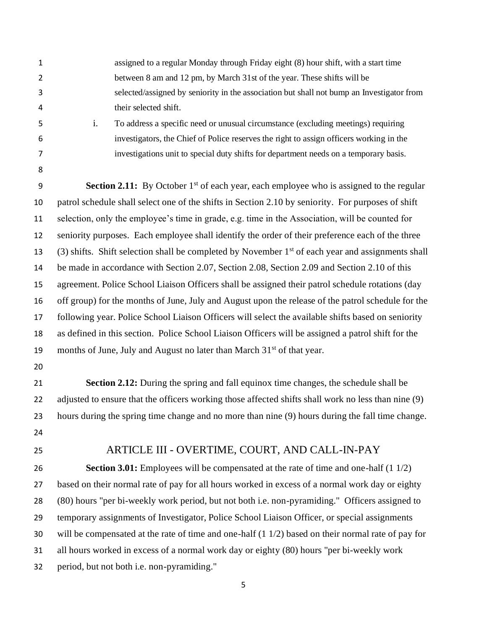| $\mathbf{1}$   | assigned to a regular Monday through Friday eight (8) hour shift, with a start time                             |
|----------------|-----------------------------------------------------------------------------------------------------------------|
| $\overline{2}$ | between 8 am and 12 pm, by March 31st of the year. These shifts will be                                         |
| 3              | selected/assigned by seniority in the association but shall not bump an Investigator from                       |
| 4              | their selected shift.                                                                                           |
| 5              | i.<br>To address a specific need or unusual circumstance (excluding meetings) requiring                         |
| 6              | investigators, the Chief of Police reserves the right to assign officers working in the                         |
| 7              | investigations unit to special duty shifts for department needs on a temporary basis.                           |
| 8              |                                                                                                                 |
| 9              | <b>Section 2.11:</b> By October 1 <sup>st</sup> of each year, each employee who is assigned to the regular      |
| 10             | patrol schedule shall select one of the shifts in Section 2.10 by seniority. For purposes of shift              |
| 11             | selection, only the employee's time in grade, e.g. time in the Association, will be counted for                 |
| 12             | seniority purposes. Each employee shall identify the order of their preference each of the three                |
| 13             | $(3)$ shifts. Shift selection shall be completed by November 1 <sup>st</sup> of each year and assignments shall |
| 14             | be made in accordance with Section 2.07, Section 2.08, Section 2.09 and Section 2.10 of this                    |
| 15             | agreement. Police School Liaison Officers shall be assigned their patrol schedule rotations (day                |
| 16             | off group) for the months of June, July and August upon the release of the patrol schedule for the              |
| 17             | following year. Police School Liaison Officers will select the available shifts based on seniority              |
| 18             | as defined in this section. Police School Liaison Officers will be assigned a patrol shift for the              |
| 19             | months of June, July and August no later than March 31 <sup>st</sup> of that year.                              |
| 20             |                                                                                                                 |
| 21             | <b>Section 2.12:</b> During the spring and fall equinox time changes, the schedule shall be                     |
| 22             | adjusted to ensure that the officers working those affected shifts shall work no less than nine (9)             |
| 23             | hours during the spring time change and no more than nine (9) hours during the fall time change.                |
| 24             |                                                                                                                 |
| 25             | ARTICLE III - OVERTIME, COURT, AND CALL-IN-PAY                                                                  |
| 26             | <b>Section 3.01:</b> Employees will be compensated at the rate of time and one-half $(1\ 1/2)$                  |
| 27             | based on their normal rate of pay for all hours worked in excess of a normal work day or eighty                 |
| 28             | (80) hours "per bi-weekly work period, but not both i.e. non-pyramiding." Officers assigned to                  |
| 29             | temporary assignments of Investigator, Police School Liaison Officer, or special assignments                    |
| 30             | will be compensated at the rate of time and one-half $(1\ 1/2)$ based on their normal rate of pay for           |
| 31             | all hours worked in excess of a normal work day or eighty (80) hours "per bi-weekly work                        |
| 32             | period, but not both i.e. non-pyramiding."                                                                      |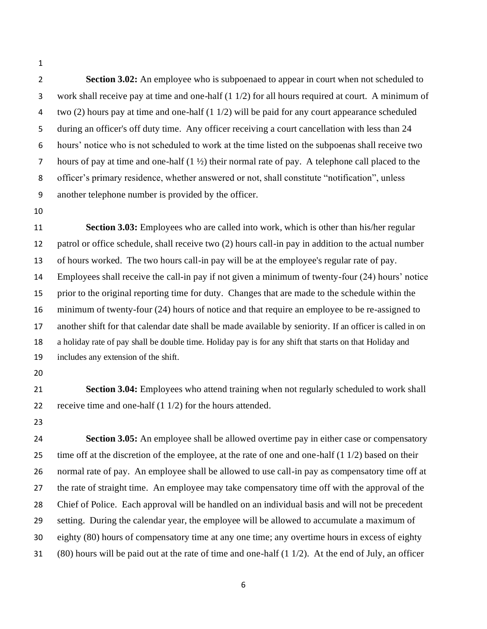**Section 3.02:** An employee who is subpoenaed to appear in court when not scheduled to work shall receive pay at time and one-half (1 1/2) for all hours required at court. A minimum of two (2) hours pay at time and one-half (1 1/2) will be paid for any court appearance scheduled during an officer's off duty time. Any officer receiving a court cancellation with less than 24 hours' notice who is not scheduled to work at the time listed on the subpoenas shall receive two 7 hours of pay at time and one-half  $(1 \frac{1}{2})$  their normal rate of pay. A telephone call placed to the officer's primary residence, whether answered or not, shall constitute "notification", unless another telephone number is provided by the officer.

 **Section 3.03:** Employees who are called into work, which is other than his/her regular patrol or office schedule, shall receive two (2) hours call-in pay in addition to the actual number of hours worked. The two hours call-in pay will be at the employee's regular rate of pay. Employees shall receive the call-in pay if not given a minimum of twenty-four (24) hours' notice prior to the original reporting time for duty. Changes that are made to the schedule within the minimum of twenty-four (24) hours of notice and that require an employee to be re-assigned to another shift for that calendar date shall be made available by seniority. If an officer is called in on a holiday rate of pay shall be double time. Holiday pay is for any shift that starts on that Holiday and includes any extension of the shift.

 **Section 3.04:** Employees who attend training when not regularly scheduled to work shall receive time and one-half (1 1/2) for the hours attended.

 **Section 3.05:** An employee shall be allowed overtime pay in either case or compensatory 25 time off at the discretion of the employee, at the rate of one and one-half  $(1\ 1/2)$  based on their normal rate of pay. An employee shall be allowed to use call-in pay as compensatory time off at the rate of straight time. An employee may take compensatory time off with the approval of the Chief of Police. Each approval will be handled on an individual basis and will not be precedent setting. During the calendar year, the employee will be allowed to accumulate a maximum of eighty (80) hours of compensatory time at any one time; any overtime hours in excess of eighty (80) hours will be paid out at the rate of time and one-half (1 1/2). At the end of July, an officer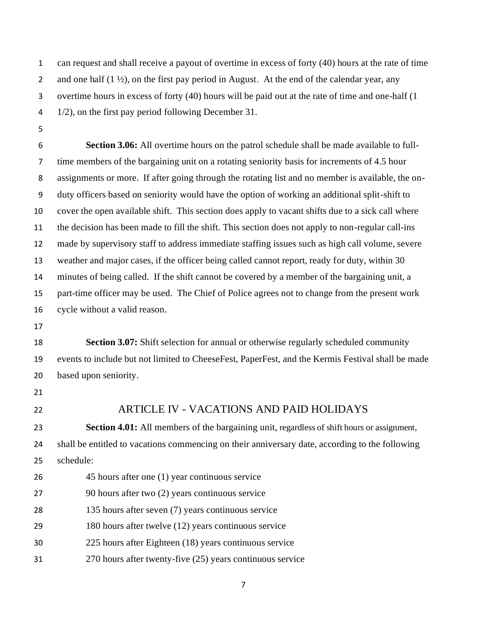can request and shall receive a payout of overtime in excess of forty (40) hours at the rate of time 2 and one half  $(1 \frac{1}{2})$ , on the first pay period in August. At the end of the calendar year, any overtime hours in excess of forty (40) hours will be paid out at the rate of time and one-half (1 1/2), on the first pay period following December 31.

 **Section 3.06:** All overtime hours on the patrol schedule shall be made available to full- time members of the bargaining unit on a rotating seniority basis for increments of 4.5 hour assignments or more. If after going through the rotating list and no member is available, the on- duty officers based on seniority would have the option of working an additional split-shift to cover the open available shift. This section does apply to vacant shifts due to a sick call where the decision has been made to fill the shift. This section does not apply to non-regular call-ins made by supervisory staff to address immediate staffing issues such as high call volume, severe weather and major cases, if the officer being called cannot report, ready for duty, within 30 minutes of being called. If the shift cannot be covered by a member of the bargaining unit, a part-time officer may be used. The Chief of Police agrees not to change from the present work cycle without a valid reason.

 **Section 3.07:** Shift selection for annual or otherwise regularly scheduled community events to include but not limited to CheeseFest, PaperFest, and the Kermis Festival shall be made based upon seniority.

- 
- 

### ARTICLE IV - VACATIONS AND PAID HOLIDAYS

 **Section 4.01:** All members of the bargaining unit, regardless of shift hours or assignment, shall be entitled to vacations commencing on their anniversary date, according to the following schedule:

 45 hours after one (1) year continuous service 90 hours after two (2) years continuous service 135 hours after seven (7) years continuous service 180 hours after twelve (12) years continuous service 225 hours after Eighteen (18) years continuous service 270 hours after twenty-five (25) years continuous service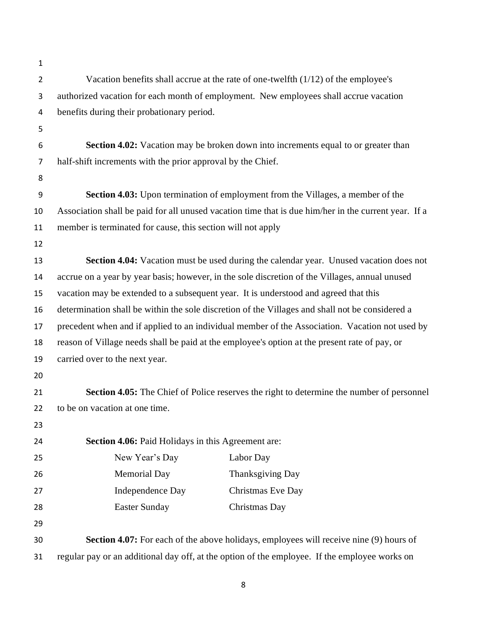| 1              |                                                                                                      |
|----------------|------------------------------------------------------------------------------------------------------|
| $\overline{2}$ | Vacation benefits shall accrue at the rate of one-twelfth (1/12) of the employee's                   |
| 3              | authorized vacation for each month of employment. New employees shall accrue vacation                |
| 4              | benefits during their probationary period.                                                           |
| 5              |                                                                                                      |
| 6              | Section 4.02: Vacation may be broken down into increments equal to or greater than                   |
| 7              | half-shift increments with the prior approval by the Chief.                                          |
| 8              |                                                                                                      |
| 9              | <b>Section 4.03:</b> Upon termination of employment from the Villages, a member of the               |
| 10             | Association shall be paid for all unused vacation time that is due him/her in the current year. If a |
| 11             | member is terminated for cause, this section will not apply                                          |
| 12             |                                                                                                      |
| 13             | Section 4.04: Vacation must be used during the calendar year. Unused vacation does not               |
| 14             | accrue on a year by year basis; however, in the sole discretion of the Villages, annual unused       |
| 15             | vacation may be extended to a subsequent year. It is understood and agreed that this                 |
| 16             | determination shall be within the sole discretion of the Villages and shall not be considered a      |
| 17             | precedent when and if applied to an individual member of the Association. Vacation not used by       |
| 18             | reason of Village needs shall be paid at the employee's option at the present rate of pay, or        |
| 19             | carried over to the next year.                                                                       |
| 20             |                                                                                                      |
| 21             | <b>Section 4.05:</b> The Chief of Police reserves the right to determine the number of personnel     |
| 22             | to be on vacation at one time.                                                                       |
| 23             |                                                                                                      |
| 24             | <b>Section 4.06:</b> Paid Holidays in this Agreement are:                                            |
| 25             | New Year's Day<br>Labor Day                                                                          |
| 26             | <b>Memorial Day</b><br>Thanksgiving Day                                                              |
| 27             | Independence Day<br>Christmas Eve Day                                                                |
| 28             | <b>Easter Sunday</b><br>Christmas Day                                                                |
| 29             |                                                                                                      |
| 30             | <b>Section 4.07:</b> For each of the above holidays, employees will receive nine (9) hours of        |
| 31             | regular pay or an additional day off, at the option of the employee. If the employee works on        |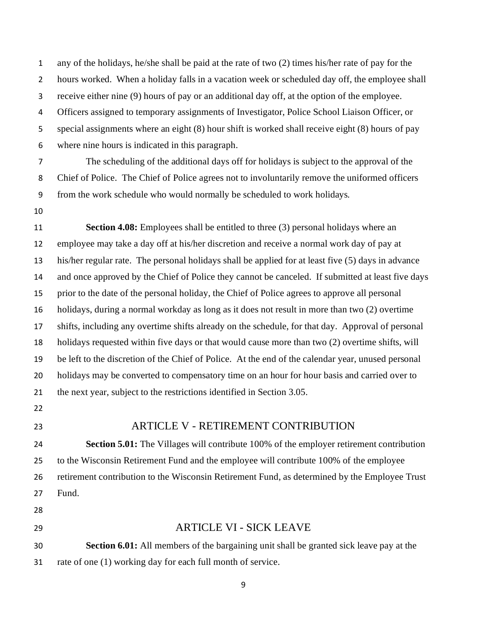any of the holidays, he/she shall be paid at the rate of two (2) times his/her rate of pay for the hours worked. When a holiday falls in a vacation week or scheduled day off, the employee shall receive either nine (9) hours of pay or an additional day off, at the option of the employee. Officers assigned to temporary assignments of Investigator, Police School Liaison Officer, or special assignments where an eight (8) hour shift is worked shall receive eight (8) hours of pay where nine hours is indicated in this paragraph.

 The scheduling of the additional days off for holidays is subject to the approval of the Chief of Police. The Chief of Police agrees not to involuntarily remove the uniformed officers from the work schedule who would normally be scheduled to work holidays.

 **Section 4.08:** Employees shall be entitled to three (3) personal holidays where an employee may take a day off at his/her discretion and receive a normal work day of pay at his/her regular rate. The personal holidays shall be applied for at least five (5) days in advance and once approved by the Chief of Police they cannot be canceled. If submitted at least five days prior to the date of the personal holiday, the Chief of Police agrees to approve all personal holidays, during a normal workday as long as it does not result in more than two (2) overtime shifts, including any overtime shifts already on the schedule, for that day. Approval of personal holidays requested within five days or that would cause more than two (2) overtime shifts, will be left to the discretion of the Chief of Police. At the end of the calendar year, unused personal holidays may be converted to compensatory time on an hour for hour basis and carried over to the next year, subject to the restrictions identified in Section 3.05.

- 
- 

#### ARTICLE V - RETIREMENT CONTRIBUTION

 **Section 5.01:** The Villages will contribute 100% of the employer retirement contribution to the Wisconsin Retirement Fund and the employee will contribute 100% of the employee retirement contribution to the Wisconsin Retirement Fund, as determined by the Employee Trust Fund.

- 
- 

#### ARTICLE VI - SICK LEAVE

 **Section 6.01:** All members of the bargaining unit shall be granted sick leave pay at the 31 rate of one (1) working day for each full month of service.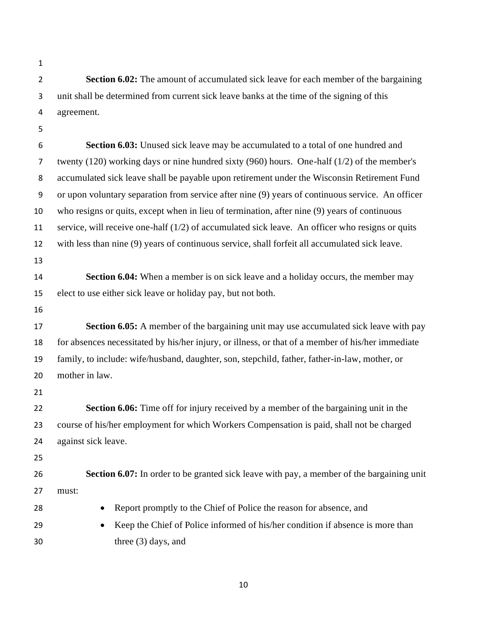**Section 6.02:** The amount of accumulated sick leave for each member of the bargaining unit shall be determined from current sick leave banks at the time of the signing of this agreement. **Section 6.03:** Unused sick leave may be accumulated to a total of one hundred and twenty (120) working days or nine hundred sixty (960) hours. One-half (1/2) of the member's accumulated sick leave shall be payable upon retirement under the Wisconsin Retirement Fund or upon voluntary separation from service after nine (9) years of continuous service. An officer who resigns or quits, except when in lieu of termination, after nine (9) years of continuous service, will receive one-half (1/2) of accumulated sick leave. An officer who resigns or quits with less than nine (9) years of continuous service, shall forfeit all accumulated sick leave. **Section 6.04:** When a member is on sick leave and a holiday occurs, the member may elect to use either sick leave or holiday pay, but not both. **Section 6.05:** A member of the bargaining unit may use accumulated sick leave with pay for absences necessitated by his/her injury, or illness, or that of a member of his/her immediate family, to include: wife/husband, daughter, son, stepchild, father, father-in-law, mother, or mother in law. **Section 6.06:** Time off for injury received by a member of the bargaining unit in the course of his/her employment for which Workers Compensation is paid, shall not be charged against sick leave. **Section 6.07:** In order to be granted sick leave with pay, a member of the bargaining unit must: • Report promptly to the Chief of Police the reason for absence, and • Keep the Chief of Police informed of his/her condition if absence is more than three (3) days, and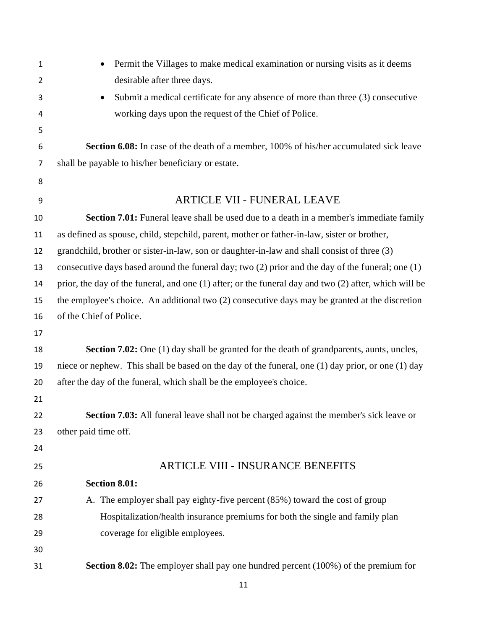| 1              | Permit the Villages to make medical examination or nursing visits as it deems                         |
|----------------|-------------------------------------------------------------------------------------------------------|
| $\overline{2}$ | desirable after three days.                                                                           |
| 3              | Submit a medical certificate for any absence of more than three (3) consecutive                       |
| 4              | working days upon the request of the Chief of Police.                                                 |
| 5              |                                                                                                       |
| 6              | Section 6.08: In case of the death of a member, 100% of his/her accumulated sick leave                |
| 7              | shall be payable to his/her beneficiary or estate.                                                    |
| 8              |                                                                                                       |
| 9              | <b>ARTICLE VII - FUNERAL LEAVE</b>                                                                    |
| 10             | <b>Section 7.01:</b> Funeral leave shall be used due to a death in a member's immediate family        |
| 11             | as defined as spouse, child, stepchild, parent, mother or father-in-law, sister or brother,           |
| 12             | grandchild, brother or sister-in-law, son or daughter-in-law and shall consist of three (3)           |
| 13             | consecutive days based around the funeral day; two $(2)$ prior and the day of the funeral; one $(1)$  |
| 14             | prior, the day of the funeral, and one (1) after; or the funeral day and two (2) after, which will be |
| 15             | the employee's choice. An additional two (2) consecutive days may be granted at the discretion        |
| 16             | of the Chief of Police.                                                                               |
| 17             |                                                                                                       |
| 18             | Section 7.02: One (1) day shall be granted for the death of grandparents, aunts, uncles,              |
| 19             | niece or nephew. This shall be based on the day of the funeral, one (1) day prior, or one (1) day     |
| 20             | after the day of the funeral, which shall be the employee's choice.                                   |
| 21             |                                                                                                       |
| 22             | Section 7.03: All funeral leave shall not be charged against the member's sick leave or               |
| 23             | other paid time off.                                                                                  |
| 24             |                                                                                                       |
| 25             | <b>ARTICLE VIII - INSURANCE BENEFITS</b>                                                              |
| 26             | <b>Section 8.01:</b>                                                                                  |
| 27             | A. The employer shall pay eighty-five percent (85%) toward the cost of group                          |
| 28             | Hospitalization/health insurance premiums for both the single and family plan                         |
| 29             | coverage for eligible employees.                                                                      |
| 30             |                                                                                                       |
| 31             | <b>Section 8.02:</b> The employer shall pay one hundred percent (100%) of the premium for             |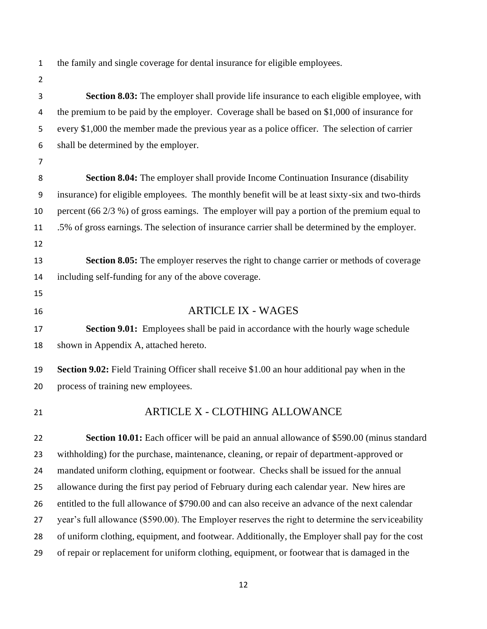the family and single coverage for dental insurance for eligible employees.

 **Section 8.03:** The employer shall provide life insurance to each eligible employee, with the premium to be paid by the employer. Coverage shall be based on \$1,000 of insurance for every \$1,000 the member made the previous year as a police officer. The selection of carrier shall be determined by the employer. **Section 8.04:** The employer shall provide Income Continuation Insurance (disability insurance) for eligible employees. The monthly benefit will be at least sixty-six and two-thirds percent (66 2/3 %) of gross earnings. The employer will pay a portion of the premium equal to .5% of gross earnings. The selection of insurance carrier shall be determined by the employer. **Section 8.05:** The employer reserves the right to change carrier or methods of coverage including self-funding for any of the above coverage. ARTICLE IX - WAGES **Section 9.01:** Employees shall be paid in accordance with the hourly wage schedule shown in Appendix A, attached hereto. **Section 9.02:** Field Training Officer shall receive \$1.00 an hour additional pay when in the process of training new employees. ARTICLE X - CLOTHING ALLOWANCE **Section 10.01:** Each officer will be paid an annual allowance of \$590.00 (minus standard withholding) for the purchase, maintenance, cleaning, or repair of department-approved or mandated uniform clothing, equipment or footwear. Checks shall be issued for the annual allowance during the first pay period of February during each calendar year. New hires are entitled to the full allowance of \$790.00 and can also receive an advance of the next calendar year's full allowance (\$590.00). The Employer reserves the right to determine the serviceability of uniform clothing, equipment, and footwear. Additionally, the Employer shall pay for the cost of repair or replacement for uniform clothing, equipment, or footwear that is damaged in the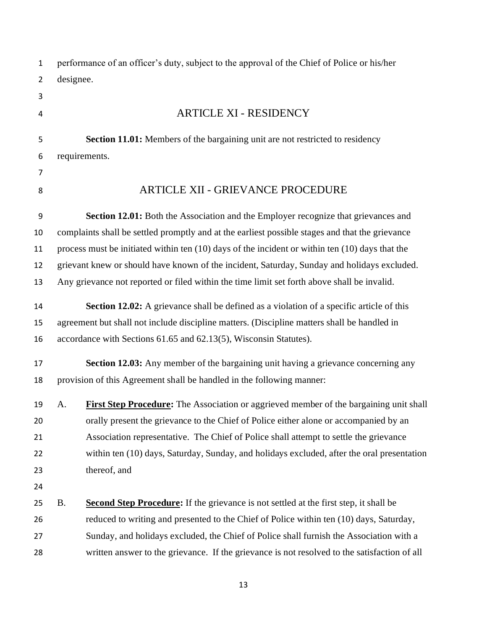| $\mathbf{1}$   |           | performance of an officer's duty, subject to the approval of the Chief of Police or his/her         |
|----------------|-----------|-----------------------------------------------------------------------------------------------------|
| $\overline{2}$ | designee. |                                                                                                     |
| 3              |           |                                                                                                     |
| 4              |           | <b>ARTICLE XI - RESIDENCY</b>                                                                       |
| 5              |           | Section 11.01: Members of the bargaining unit are not restricted to residency                       |
| 6              |           | requirements.                                                                                       |
| 7              |           |                                                                                                     |
| 8              |           | <b>ARTICLE XII - GRIEVANCE PROCEDURE</b>                                                            |
| 9              |           | Section 12.01: Both the Association and the Employer recognize that grievances and                  |
| 10             |           | complaints shall be settled promptly and at the earliest possible stages and that the grievance     |
| 11             |           | process must be initiated within ten $(10)$ days of the incident or within ten $(10)$ days that the |
| 12             |           | grievant knew or should have known of the incident, Saturday, Sunday and holidays excluded.         |
| 13             |           | Any grievance not reported or filed within the time limit set forth above shall be invalid.         |
| 14             |           | <b>Section 12.02:</b> A grievance shall be defined as a violation of a specific article of this     |
| 15             |           | agreement but shall not include discipline matters. (Discipline matters shall be handled in         |
| 16             |           | accordance with Sections 61.65 and 62.13(5), Wisconsin Statutes).                                   |
| 17             |           | Section 12.03: Any member of the bargaining unit having a grievance concerning any                  |
| 18             |           | provision of this Agreement shall be handled in the following manner:                               |
| 19             | А.        | First Step Procedure: The Association or aggrieved member of the bargaining unit shall              |
| 20             |           | orally present the grievance to the Chief of Police either alone or accompanied by an               |
| 21             |           | Association representative. The Chief of Police shall attempt to settle the grievance               |
| 22             |           | within ten (10) days, Saturday, Sunday, and holidays excluded, after the oral presentation          |
| 23             |           | thereof, and                                                                                        |
| 24             |           |                                                                                                     |
| 25             | <b>B.</b> | <b>Second Step Procedure:</b> If the grievance is not settled at the first step, it shall be        |
| 26             |           | reduced to writing and presented to the Chief of Police within ten (10) days, Saturday,             |
| 27             |           | Sunday, and holidays excluded, the Chief of Police shall furnish the Association with a             |
| 28             |           | written answer to the grievance. If the grievance is not resolved to the satisfaction of all        |
|                |           |                                                                                                     |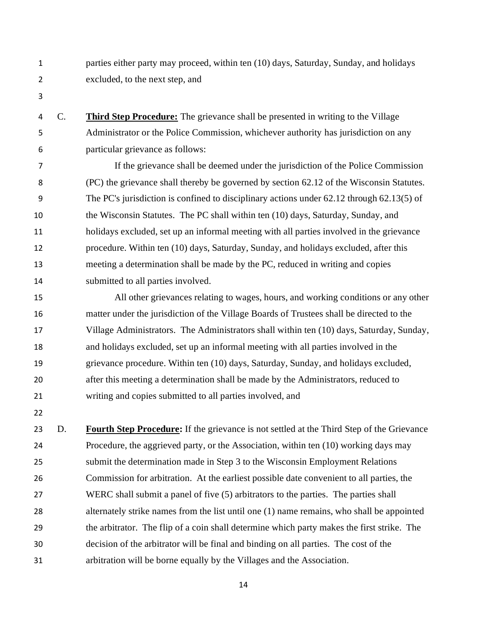- parties either party may proceed, within ten (10) days, Saturday, Sunday, and holidays excluded, to the next step, and
- 

 C. **Third Step Procedure:** The grievance shall be presented in writing to the Village Administrator or the Police Commission, whichever authority has jurisdiction on any particular grievance as follows:

 If the grievance shall be deemed under the jurisdiction of the Police Commission (PC) the grievance shall thereby be governed by section 62.12 of the Wisconsin Statutes. The PC's jurisdiction is confined to disciplinary actions under 62.12 through 62.13(5) of the Wisconsin Statutes. The PC shall within ten (10) days, Saturday, Sunday, and holidays excluded, set up an informal meeting with all parties involved in the grievance procedure. Within ten (10) days, Saturday, Sunday, and holidays excluded, after this meeting a determination shall be made by the PC, reduced in writing and copies 14 submitted to all parties involved.

 All other grievances relating to wages, hours, and working conditions or any other matter under the jurisdiction of the Village Boards of Trustees shall be directed to the Village Administrators. The Administrators shall within ten (10) days, Saturday, Sunday, and holidays excluded, set up an informal meeting with all parties involved in the grievance procedure. Within ten (10) days, Saturday, Sunday, and holidays excluded, after this meeting a determination shall be made by the Administrators, reduced to writing and copies submitted to all parties involved, and

 D. **Fourth Step Procedure:** If the grievance is not settled at the Third Step of the Grievance Procedure, the aggrieved party, or the Association, within ten (10) working days may submit the determination made in Step 3 to the Wisconsin Employment Relations Commission for arbitration. At the earliest possible date convenient to all parties, the WERC shall submit a panel of five (5) arbitrators to the parties. The parties shall alternately strike names from the list until one (1) name remains, who shall be appointed the arbitrator. The flip of a coin shall determine which party makes the first strike. The decision of the arbitrator will be final and binding on all parties. The cost of the arbitration will be borne equally by the Villages and the Association.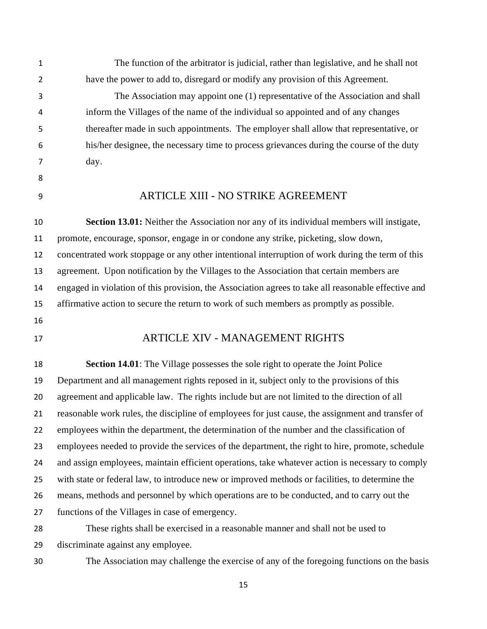The function of the arbitrator is judicial, rather than legislative, and he shall not have the power to add to, disregard or modify any provision of this Agreement.

 The Association may appoint one (1) representative of the Association and shall inform the Villages of the name of the individual so appointed and of any changes thereafter made in such appointments. The employer shall allow that representative, or his/her designee, the necessary time to process grievances during the course of the duty day.

- 
- 

#### ARTICLE XIII - NO STRIKE AGREEMENT

 **Section 13.01:** Neither the Association nor any of its individual members will instigate, promote, encourage, sponsor, engage in or condone any strike, picketing, slow down, concentrated work stoppage or any other intentional interruption of work during the term of this agreement. Upon notification by the Villages to the Association that certain members are engaged in violation of this provision, the Association agrees to take all reasonable effective and affirmative action to secure the return to work of such members as promptly as possible.

## ARTICLE XIV - MANAGEMENT RIGHTS

 **Section 14.01**: The Village possesses the sole right to operate the Joint Police Department and all management rights reposed in it, subject only to the provisions of this agreement and applicable law. The rights include but are not limited to the direction of all reasonable work rules, the discipline of employees for just cause, the assignment and transfer of employees within the department, the determination of the number and the classification of employees needed to provide the services of the department, the right to hire, promote, schedule 24 and assign employees, maintain efficient operations, take whatever action is necessary to comply with state or federal law, to introduce new or improved methods or facilities, to determine the means, methods and personnel by which operations are to be conducted, and to carry out the functions of the Villages in case of emergency.

 These rights shall be exercised in a reasonable manner and shall not be used to discriminate against any employee.

The Association may challenge the exercise of any of the foregoing functions on the basis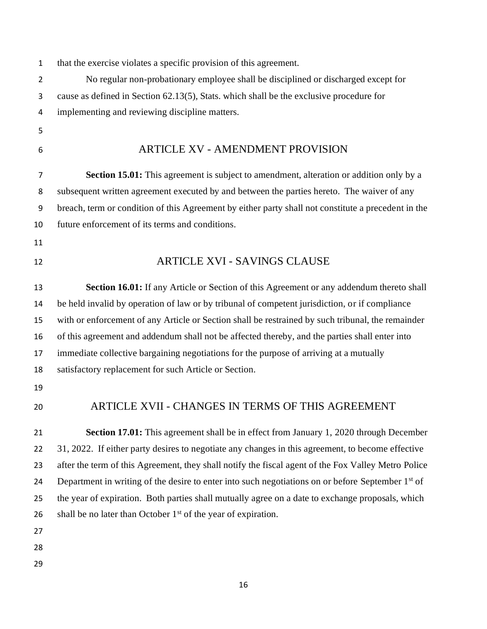that the exercise violates a specific provision of this agreement. No regular non-probationary employee shall be disciplined or discharged except for cause as defined in Section 62.13(5), Stats. which shall be the exclusive procedure for implementing and reviewing discipline matters. ARTICLE XV - AMENDMENT PROVISION **Section 15.01:** This agreement is subject to amendment, alteration or addition only by a subsequent written agreement executed by and between the parties hereto. The waiver of any breach, term or condition of this Agreement by either party shall not constitute a precedent in the future enforcement of its terms and conditions. ARTICLE XVI - SAVINGS CLAUSE **Section 16.01:** If any Article or Section of this Agreement or any addendum thereto shall be held invalid by operation of law or by tribunal of competent jurisdiction, or if compliance with or enforcement of any Article or Section shall be restrained by such tribunal, the remainder of this agreement and addendum shall not be affected thereby, and the parties shall enter into immediate collective bargaining negotiations for the purpose of arriving at a mutually satisfactory replacement for such Article or Section. ARTICLE XVII - CHANGES IN TERMS OF THIS AGREEMENT **Section 17.01:** This agreement shall be in effect from January 1, 2020 through December 31, 2022. If either party desires to negotiate any changes in this agreement, to become effective after the term of this Agreement, they shall notify the fiscal agent of the Fox Valley Metro Police 24 Department in writing of the desire to enter into such negotiations on or before September  $1<sup>st</sup>$  of the year of expiration. Both parties shall mutually agree on a date to exchange proposals, which 26 shall be no later than October  $1<sup>st</sup>$  of the year of expiration.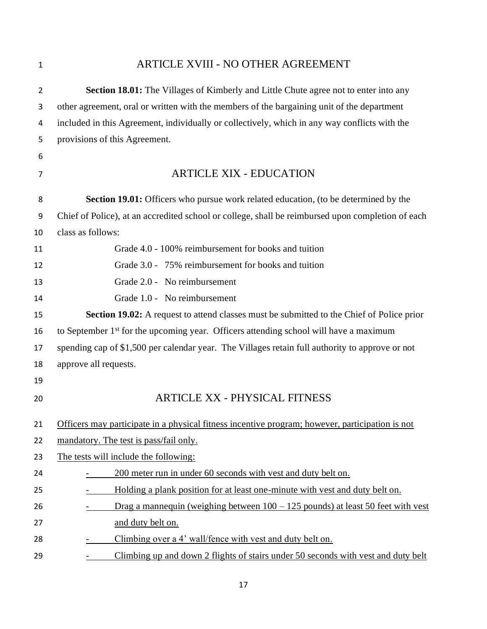## ARTICLE XVIII - NO OTHER AGREEMENT

| $\overline{2}$ | Section 18.01: The Villages of Kimberly and Little Chute agree not to enter into any              |
|----------------|---------------------------------------------------------------------------------------------------|
| 3              | other agreement, oral or written with the members of the bargaining unit of the department        |
| 4              | included in this Agreement, individually or collectively, which in any way conflicts with the     |
| 5              | provisions of this Agreement.                                                                     |
| 6              |                                                                                                   |
| 7              | <b>ARTICLE XIX - EDUCATION</b>                                                                    |
| 8              | Section 19.01: Officers who pursue work related education, (to be determined by the               |
| 9              | Chief of Police), at an accredited school or college, shall be reimbursed upon completion of each |
| 10             | class as follows:                                                                                 |
| 11             | Grade 4.0 - 100% reimbursement for books and tuition                                              |
| 12             | Grade 3.0 - 75% reimbursement for books and tuition                                               |
| 13             | Grade 2.0 - No reimbursement                                                                      |
| 14             | Grade 1.0 - No reimbursement                                                                      |
| 15             | <b>Section 19.02:</b> A request to attend classes must be submitted to the Chief of Police prior  |
| 16             | to September 1 <sup>st</sup> for the upcoming year. Officers attending school will have a maximum |
| 17             | spending cap of \$1,500 per calendar year. The Villages retain full authority to approve or not   |
| 18             | approve all requests.                                                                             |
| 19             |                                                                                                   |
| 20             | <b>ARTICLE XX - PHYSICAL FITNESS</b>                                                              |
| 21             | Officers may participate in a physical fitness incentive program; however, participation is not   |
| 22             | mandatory. The test is pass/fail only.                                                            |
| 23             | The tests will include the following:                                                             |
| 24             | 200 meter run in under 60 seconds with vest and duty belt on.                                     |
| 25             | Holding a plank position for at least one-minute with vest and duty belt on.                      |
| 26             | Drag a mannequin (weighing between $100 - 125$ pounds) at least 50 feet with vest                 |
| 27             | and duty belt on.                                                                                 |
| 28             | Climbing over a 4' wall/fence with vest and duty belt on.                                         |
| 29             | Climbing up and down 2 flights of stairs under 50 seconds with vest and duty belt                 |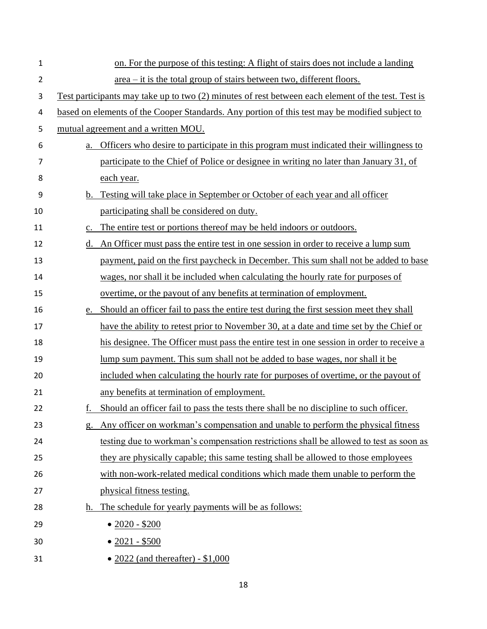| $\mathbf 1$    | on. For the purpose of this testing: A flight of stairs does not include a landing                 |
|----------------|----------------------------------------------------------------------------------------------------|
| $\overline{2}$ | <u>area – it is the total group of stairs between two, different floors.</u>                       |
| 3              | Test participants may take up to two (2) minutes of rest between each element of the test. Test is |
| 4              | based on elements of the Cooper Standards. Any portion of this test may be modified subject to     |
| 5              | mutual agreement and a written MOU.                                                                |
| 6              | Officers who desire to participate in this program must indicated their willingness to<br>a.       |
| 7              | participate to the Chief of Police or designee in writing no later than January 31, of             |
| 8              | each year.                                                                                         |
| 9              | Testing will take place in September or October of each year and all officer<br>$b_{\cdot}$        |
| 10             | participating shall be considered on duty.                                                         |
| 11             | The entire test or portions thereof may be held indoors or outdoors.<br>$\mathbf{c}$ .             |
| 12             | An Officer must pass the entire test in one session in order to receive a lump sum<br>d.           |
| 13             | payment, paid on the first paycheck in December. This sum shall not be added to base               |
| 14             | wages, nor shall it be included when calculating the hourly rate for purposes of                   |
| 15             | overtime, or the payout of any benefits at termination of employment.                              |
| 16             | e. Should an officer fail to pass the entire test during the first session meet they shall         |
| 17             | have the ability to retest prior to November 30, at a date and time set by the Chief or            |
| 18             | his designee. The Officer must pass the entire test in one session in order to receive a           |
| 19             | lump sum payment. This sum shall not be added to base wages, nor shall it be                       |
| 20             | included when calculating the hourly rate for purposes of overtime, or the payout of               |
| 21             | any benefits at termination of employment.                                                         |
| 22             | Should an officer fail to pass the tests there shall be no discipline to such officer.<br>f.       |
| 23             | Any officer on workman's compensation and unable to perform the physical fitness<br>g.             |
| 24             | testing due to workman's compensation restrictions shall be allowed to test as soon as             |
| 25             | they are physically capable; this same testing shall be allowed to those employees                 |
| 26             | with non-work-related medical conditions which made them unable to perform the                     |
| 27             | physical fitness testing.                                                                          |
| 28             | The schedule for yearly payments will be as follows:<br>h.                                         |
| 29             | $\bullet$ 2020 - \$200                                                                             |
| 30             | $• 2021 - $500$                                                                                    |
| 31             | • $2022$ (and thereafter) - \$1,000                                                                |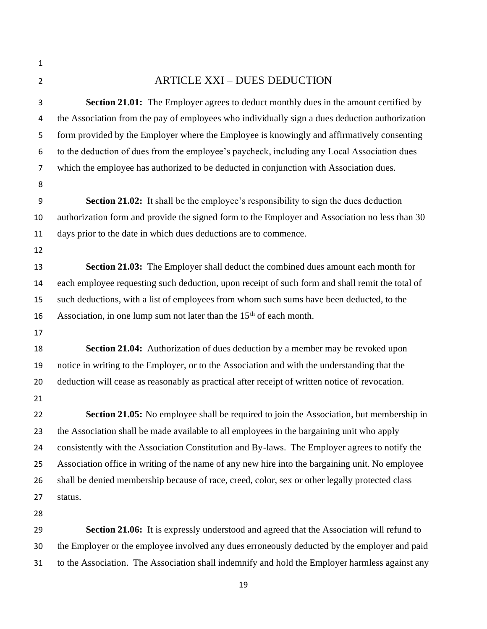- ARTICLE XXI – DUES DEDUCTION **Section 21.01:** The Employer agrees to deduct monthly dues in the amount certified by the Association from the pay of employees who individually sign a dues deduction authorization form provided by the Employer where the Employee is knowingly and affirmatively consenting to the deduction of dues from the employee's paycheck, including any Local Association dues which the employee has authorized to be deducted in conjunction with Association dues. **Section 21.02:** It shall be the employee's responsibility to sign the dues deduction authorization form and provide the signed form to the Employer and Association no less than 30 days prior to the date in which dues deductions are to commence. **Section 21.03:** The Employer shall deduct the combined dues amount each month for each employee requesting such deduction, upon receipt of such form and shall remit the total of such deductions, with a list of employees from whom such sums have been deducted, to the 16 Association, in one lump sum not later than the  $15<sup>th</sup>$  of each month. **Section 21.04:** Authorization of dues deduction by a member may be revoked upon notice in writing to the Employer, or to the Association and with the understanding that the deduction will cease as reasonably as practical after receipt of written notice of revocation. **Section 21.05:** No employee shall be required to join the Association, but membership in the Association shall be made available to all employees in the bargaining unit who apply consistently with the Association Constitution and By-laws. The Employer agrees to notify the Association office in writing of the name of any new hire into the bargaining unit. No employee shall be denied membership because of race, creed, color, sex or other legally protected class status. **Section 21.06:** It is expressly understood and agreed that the Association will refund to the Employer or the employee involved any dues erroneously deducted by the employer and paid
- to the Association. The Association shall indemnify and hold the Employer harmless against any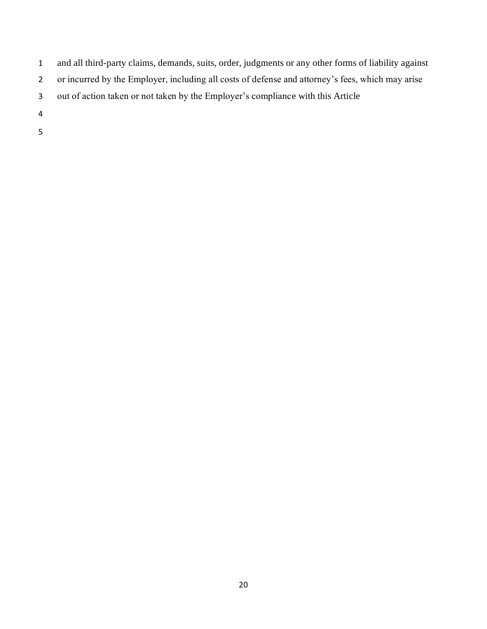- and all third-party claims, demands, suits, order, judgments or any other forms of liability against
- or incurred by the Employer, including all costs of defense and attorney's fees, which may arise
- out of action taken or not taken by the Employer's compliance with this Article
- 
-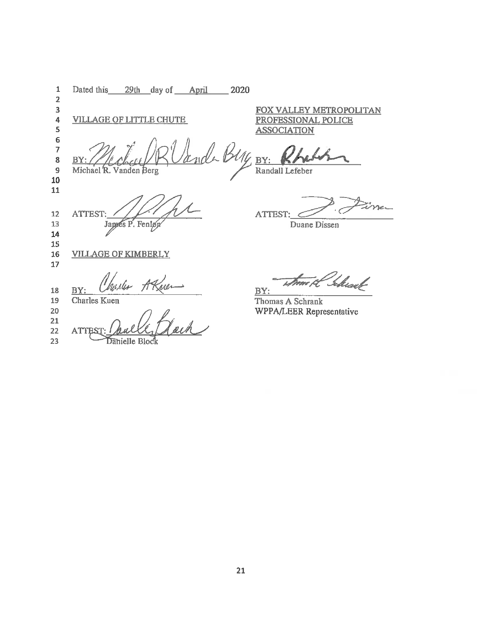29th day of April  $\mathbf 1$ Dated this  $-2020$  $\overline{2}$ 3 FOX VALLEY METROPOLITAN  $\overline{\mathbf{4}}$ **VILLAGE OF LITTLE CHUTE** PROFESSIONAL POLICE 5 **ASSOCIATION** 6  $\overline{7}$  $\bf8$  $\mathbf{B}$  $BY:$  $\overline{9}$ Randall Lefeber Michael R. Vanden Berg 10  ${\bf 11}$ Ene. ATTEST: سم  $12\,$ ATTEST: Japes P. Fenløy 13 Duane Dissen 14 15 16 **VILLAGE OF KIMBERLY** 17 Theast k. ustes BY 18 ΒY Charles Kuen 19 Thomas A Schrank  $20$ WPPA/LEER Representative 21 22 **ATTES** 23 Danielle Block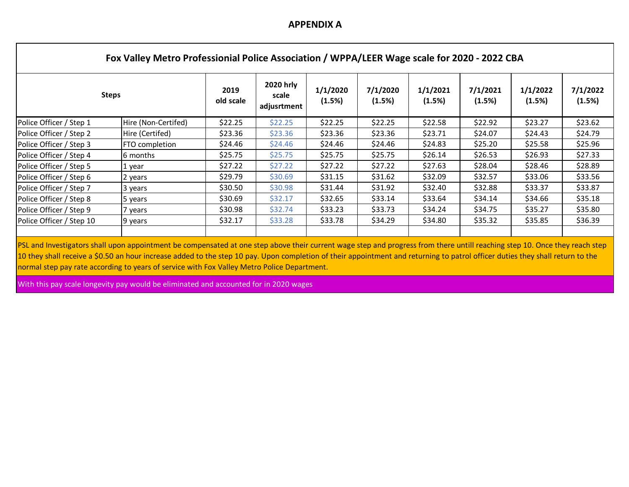#### **APPENDIX A**

| <b>Steps</b>             | 2019<br>old scale   | 2020 hrly<br>scale<br>adjusrtment | 1/1/2020<br>(1.5%) | 7/1/2020<br>(1.5%) | 1/1/2021<br>(1.5%) | 7/1/2021<br>(1.5%) | 1/1/2022<br>(1.5%) | 7/1/2022<br>(1.5%) |         |
|--------------------------|---------------------|-----------------------------------|--------------------|--------------------|--------------------|--------------------|--------------------|--------------------|---------|
| Police Officer / Step 1  | Hire (Non-Certifed) | \$22.25                           | \$22.25            | \$22.25            | \$22.25            | \$22.58            | \$22.92            | \$23.27            | \$23.62 |
| Police Officer / Step 2  | Hire (Certifed)     | \$23.36                           | \$23.36            | \$23.36            | \$23.36            | \$23.71            | \$24.07            | \$24.43            | \$24.79 |
| Police Officer / Step 3  | FTO completion      | \$24.46                           | \$24.46            | \$24.46            | \$24.46            | \$24.83            | \$25.20            | \$25.58            | \$25.96 |
| Police Officer / Step 4  | 6 months            | \$25.75                           | \$25.75            | \$25.75            | \$25.75            | \$26.14            | \$26.53            | \$26.93            | \$27.33 |
| Police Officer / Step 5  | 1 year              | \$27.22                           | \$27.22            | \$27.22            | \$27.22            | \$27.63            | \$28.04            | \$28.46            | \$28.89 |
| Police Officer / Step 6  | 2 years             | \$29.79                           | \$30.69            | \$31.15            | \$31.62            | \$32.09            | \$32.57            | \$33.06            | \$33.56 |
| Police Officer / Step 7  | 3 years             | \$30.50                           | \$30.98            | \$31.44            | \$31.92            | \$32.40            | \$32.88            | \$33.37            | \$33.87 |
| Police Officer / Step 8  | 5 years             | \$30.69                           | \$32.17            | \$32.65            | \$33.14            | \$33.64            | \$34.14            | \$34.66            | \$35.18 |
| Police Officer / Step 9  | 7 years             | \$30.98                           | \$32.74            | \$33.23            | \$33.73            | \$34.24            | \$34.75            | \$35.27            | \$35.80 |
| Police Officer / Step 10 | 9 years             | \$32.17                           | \$33.28            | \$33.78            | \$34.29            | \$34.80            | \$35.32            | \$35.85            | \$36.39 |

PSL and Investigators shall upon appointment be compensated at one step above their current wage step and progress from there untill reaching step 10. Once they reach step 10 they shall receive a \$0.50 an hour increase added to the step 10 pay. Upon completion of their appointment and returning to patrol officer duties they shall return to the normal step pay rate according to years of service with Fox Valley Metro Police Department.

With this pay scale longevity pay would be eliminated and accounted for in 2020 wages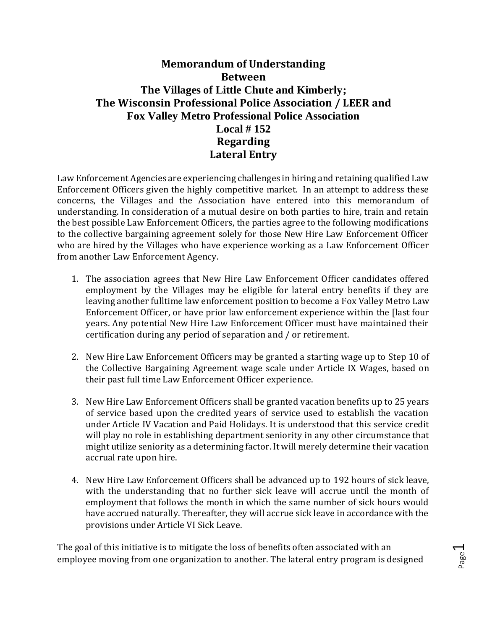## **Memorandum of Understanding Between The Villages of Little Chute and Kimberly; The Wisconsin Professional Police Association / LEER and Fox Valley Metro Professional Police Association Local # 152 Regarding Lateral Entry**

Law Enforcement Agencies are experiencing challenges in hiring and retaining qualified Law Enforcement Officers given the highly competitive market. In an attempt to address these concerns, the Villages and the Association have entered into this memorandum of understanding. In consideration of a mutual desire on both parties to hire, train and retain the best possible Law Enforcement Officers, the parties agree to the following modifications to the collective bargaining agreement solely for those New Hire Law Enforcement Officer who are hired by the Villages who have experience working as a Law Enforcement Officer from another Law Enforcement Agency.

- 1. The association agrees that New Hire Law Enforcement Officer candidates offered employment by the Villages may be eligible for lateral entry benefits if they are leaving another fulltime law enforcement position to become a Fox Valley Metro Law Enforcement Officer, or have prior law enforcement experience within the [last four years. Any potential New Hire Law Enforcement Officer must have maintained their certification during any period of separation and / or retirement.
- 2. New Hire Law Enforcement Officers may be granted a starting wage up to Step 10 of the Collective Bargaining Agreement wage scale under Article IX Wages, based on their past full time Law Enforcement Officer experience.
- 3. New Hire Law Enforcement Officers shall be granted vacation benefits up to 25 years of service based upon the credited years of service used to establish the vacation under Article IV Vacation and Paid Holidays. It is understood that this service credit will play no role in establishing department seniority in any other circumstance that might utilize seniority as a determining factor. It will merely determine their vacation accrual rate upon hire.
- 4. New Hire Law Enforcement Officers shall be advanced up to 192 hours of sick leave, with the understanding that no further sick leave will accrue until the month of employment that follows the month in which the same number of sick hours would have accrued naturally. Thereafter, they will accrue sick leave in accordance with the provisions under Article VI Sick Leave.

The goal of this initiative is to mitigate the loss of benefits often associated with an employee moving from one organization to another. The lateral entry program is designed